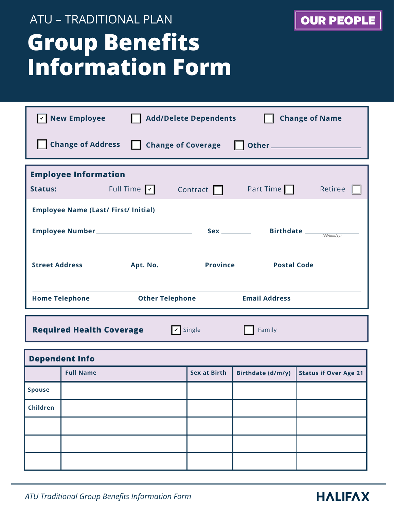## **Group Benefits Information Form** ATU – TRADITIONAL PLAN

| <b>OUR PEOPLE</b> |  |
|-------------------|--|
|                   |  |
|                   |  |
|                   |  |

|                                             | <b>New Employee</b><br><b>Add/Delete Dependents</b><br><b>Change of Name</b> |                 |                      |                                               |
|---------------------------------------------|------------------------------------------------------------------------------|-----------------|----------------------|-----------------------------------------------|
| <b>Change of Address Change of Coverage</b> |                                                                              |                 |                      |                                               |
| <b>Employee Information</b>                 |                                                                              |                 |                      |                                               |
| Status:                                     | Full Time $\boxed{\checkmark}$                                               | Contract $\Box$ | Part Time $\Box$     | Retiree                                       |
|                                             |                                                                              |                 |                      |                                               |
|                                             |                                                                              |                 |                      | Birthdate $\frac{1}{\text{dist}(d/dm m/y y)}$ |
|                                             |                                                                              |                 |                      |                                               |
| <b>Street Address</b>                       | Apt. No.                                                                     | <b>Province</b> | <b>Postal Code</b>   |                                               |
| <b>Home Telephone</b>                       | <b>Other Telephone</b>                                                       |                 | <b>Email Address</b> |                                               |

**Required Health Coverage Single Family** Family

**V** Single

| <b>Dependent Info</b> |                  |                     |                   |                              |
|-----------------------|------------------|---------------------|-------------------|------------------------------|
|                       | <b>Full Name</b> | <b>Sex at Birth</b> | Birthdate (d/m/y) | <b>Status if Over Age 21</b> |
| <b>Spouse</b>         |                  |                     |                   |                              |
| Children              |                  |                     |                   |                              |
|                       |                  |                     |                   |                              |
|                       |                  |                     |                   |                              |
|                       |                  |                     |                   |                              |

*ATU Traditional Group Benefits Information Form*